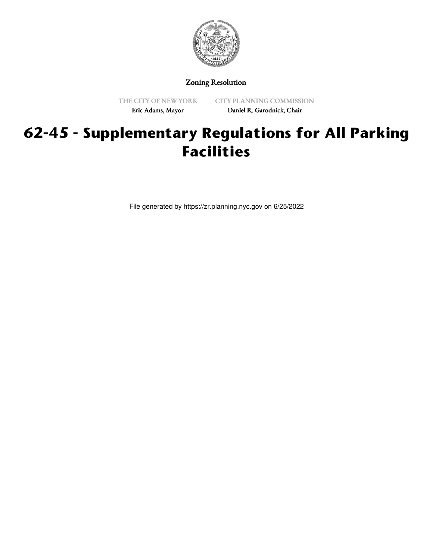

Zoning Resolution

THE CITY OF NEW YORK Eric Adams, Mayor

CITY PLANNING COMMISSION Daniel R. Garodnick, Chair

# **62-45 - Supplementary Regulations for All Parking Facilities**

File generated by https://zr.planning.nyc.gov on 6/25/2022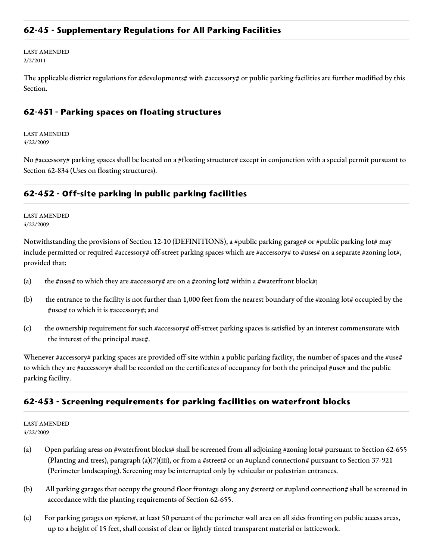## **62-45 - Supplementary Regulations for All Parking Facilities**

LAST AMENDED 2/2/2011

The applicable district regulations for #developments# with #accessory# or public parking facilities are further modified by this Section.

#### **62-451 - Parking spaces on floating structures**

LAST AMENDED 4/22/2009

No #accessory# parking spaces shall be located on a #floating structure# except in conjunction with a special permit pursuant to Section 62-834 (Uses on floating structures).

## **62-452 - Off-site parking in public parking facilities**

LAST AMENDED 4/22/2009

Notwithstanding the provisions of Section 12-10 (DEFINITIONS), a #public parking garage# or #public parking lot# may include permitted or required #accessory# off-street parking spaces which are #accessory# to #uses# on a separate #zoning lot#, provided that:

- (a) the #uses# to which they are #accessory# are on a #zoning lot# within a #waterfront block#;
- (b) the entrance to the facility is not further than 1,000 feet from the nearest boundary of the #zoning lot# occupied by the #uses# to which it is #accessory#; and
- (c) the ownership requirement for such #accessory# off-street parking spaces is satisfied by an interest commensurate with the interest of the principal #use#.

Whenever #accessory# parking spaces are provided off-site within a public parking facility, the number of spaces and the #use# to which they are #accessory# shall be recorded on the certificates of occupancy for both the principal #use# and the public parking facility.

### **62-453 - Screening requirements for parking facilities on waterfront blocks**

LAST AMENDED 4/22/2009

- (a) Open parking areas on #waterfront blocks# shall be screened from all adjoining #zoning lots# pursuant to Section 62-655 (Planting and trees), paragraph (a)(7)(iii), or from a #street# or an #upland connection# pursuant to Section 37-921 (Perimeter landscaping). Screening may be interrupted only by vehicular or pedestrian entrances.
- (b) All parking garages that occupy the ground floor frontage along any #street# or #upland connection# shall be screened in accordance with the planting requirements of Section 62-655.
- (c) For parking garages on #piers#, at least 50 percent of the perimeter wall area on all sides fronting on public access areas, up to a height of 15 feet, shall consist of clear or lightly tinted transparent material or latticework.